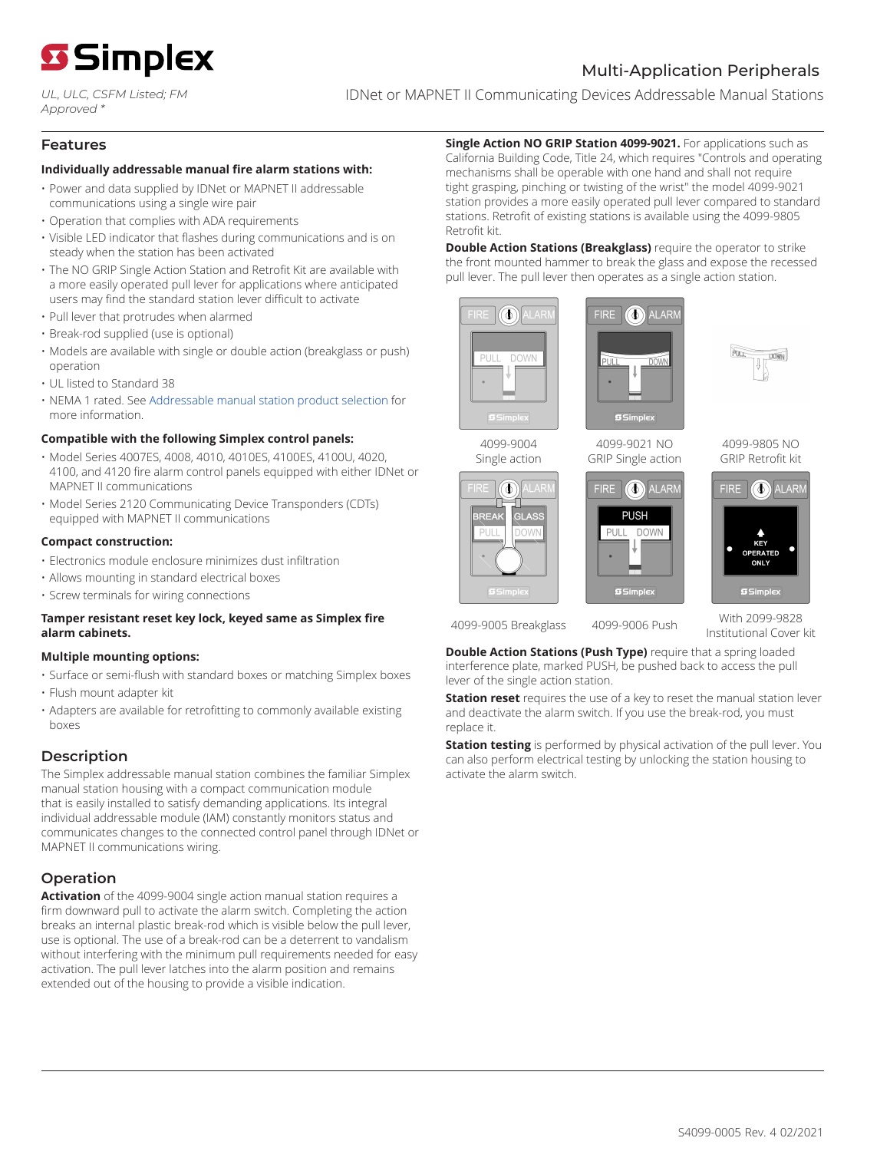

*UL, ULC, CSFM Listed; FM Approved \**

IDNet or MAPNET II Communicating Devices Addressable Manual Stations

#### **Features**

#### **Individually addressable manual fire alarm stations with:**

- Power and data supplied by IDNet or MAPNET II addressable communications using a single wire pair
- Operation that complies with ADA requirements
- Visible LED indicator that flashes during communications and is on steady when the station has been activated
- The NO GRIP Single Action Station and Retrofit Kit are available with a more easily operated pull lever for applications where anticipated users may find the standard station lever difficult to activate
- Pull lever that protrudes when alarmed
- Break-rod supplied (use is optional)
- Models are available with single or double action (breakglass or push) operation
- UL listed to Standard 38
- NEMA 1 rated. See [Addressable manual station product selection](#page-5-0) for more information.

#### **Compatible with the following Simplex control panels:**

- Model Series 4007ES, 4008, 4010, 4010ES, 4100ES, 4100U, 4020, 4100, and 4120 fire alarm control panels equipped with either IDNet or MAPNET II communications
- Model Series 2120 Communicating Device Transponders (CDTs) equipped with MAPNET II communications

#### **Compact construction:**

- Electronics module enclosure minimizes dust infiltration
- Allows mounting in standard electrical boxes
- Screw terminals for wiring connections

#### **Tamper resistant reset key lock, keyed same as Simplex fire alarm cabinets.**

#### **Multiple mounting options:**

- Surface or semi-flush with standard boxes or matching Simplex boxes
- Flush mount adapter kit
- Adapters are available for retrofitting to commonly available existing boxes

# **Description**

The Simplex addressable manual station combines the familiar Simplex manual station housing with a compact communication module that is easily installed to satisfy demanding applications. Its integral individual addressable module (IAM) constantly monitors status and communicates changes to the connected control panel through IDNet or MAPNET II communications wiring.

# **Operation**

**Activation** of the 4099-9004 single action manual station requires a firm downward pull to activate the alarm switch. Completing the action breaks an internal plastic break-rod which is visible below the pull lever, use is optional. The use of a break-rod can be a deterrent to vandalism without interfering with the minimum pull requirements needed for easy activation. The pull lever latches into the alarm position and remains extended out of the housing to provide a visible indication.

**Single Action NO GRIP Station 4099-9021.** For applications such as California Building Code, Title 24, which requires "Controls and operating mechanisms shall be operable with one hand and shall not require tight grasping, pinching or twisting of the wrist" the model 4099-9021 station provides a more easily operated pull lever compared to standard stations. Retrofit of existing stations is available using the 4099-9805 Retrofit kit.

**Double Action Stations (Breakglass)** require the operator to strike the front mounted hammer to break the glass and expose the recessed pull lever. The pull lever then operates as a single action station.



4099-9004 Single action

⊕

**DOWN** 

REAK  $P||||$ 





4099-9021 NO GRIP Single action



4099-9805 NO GRIP Retrofit kit



4099-9005 Breakglass 4099-9006 Push With 2099-9828

Institutional Cover kit

**Double Action Stations (Push Type)** require that a spring loaded interference plate, marked PUSH, be pushed back to access the pull lever of the single action station.

**Station reset** requires the use of a key to reset the manual station lever and deactivate the alarm switch. If you use the break-rod, you must replace it.

**Station testing** is performed by physical activation of the pull lever. You can also perform electrical testing by unlocking the station housing to activate the alarm switch.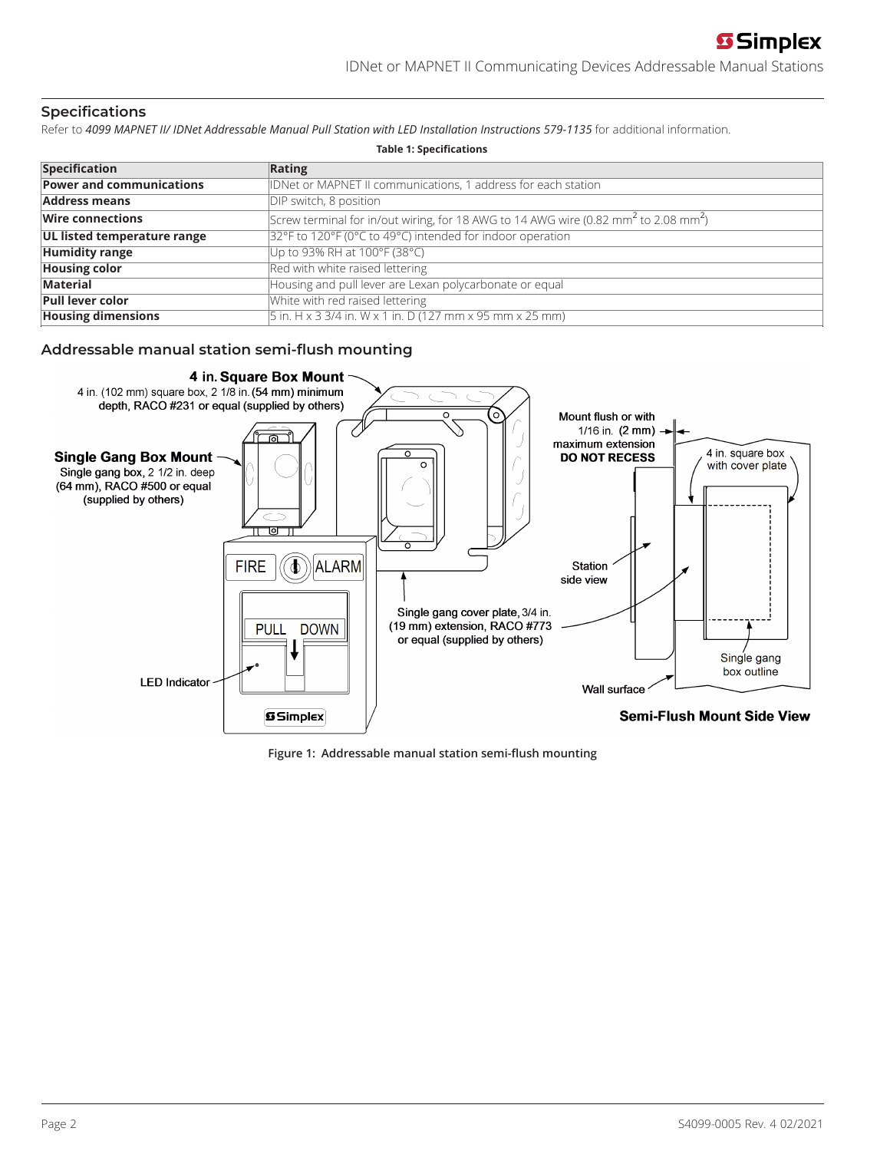# **Specifications**

Refer to 4099 MAPNET II/ IDNet Addressable Manual Pull Station with LED Installation Instructions 579-1135 for additional information.

| <b>Table 1: Specifications</b>  |                                                                                                             |  |  |
|---------------------------------|-------------------------------------------------------------------------------------------------------------|--|--|
| <b>Specification</b>            | Rating                                                                                                      |  |  |
| <b>Power and communications</b> | IDNet or MAPNET II communications, 1 address for each station                                               |  |  |
| <b>Address means</b>            | DIP switch, 8 position                                                                                      |  |  |
| <b>Wire connections</b>         | Screw terminal for in/out wiring, for 18 AWG to 14 AWG wire (0.82 mm <sup>2</sup> to 2.08 mm <sup>2</sup> ) |  |  |
| UL listed temperature range     | 32°F to 120°F (0°C to 49°C) intended for indoor operation                                                   |  |  |
| <b>Humidity range</b>           | Up to 93% RH at 100°F (38°C)                                                                                |  |  |
| <b>Housing color</b>            | Red with white raised lettering                                                                             |  |  |
| Material                        | Housing and pull lever are Lexan polycarbonate or equal                                                     |  |  |
| <b>Pull lever color</b>         | White with red raised lettering                                                                             |  |  |
| <b>Housing dimensions</b>       | $\frac{1}{5}$ in. H x 3 3/4 in. W x 1 in. D (127 mm x 95 mm x 25 mm)                                        |  |  |

### **Addressable manual station semi-flush mounting**



**Figure 1: Addressable manual station semi-flush mounting**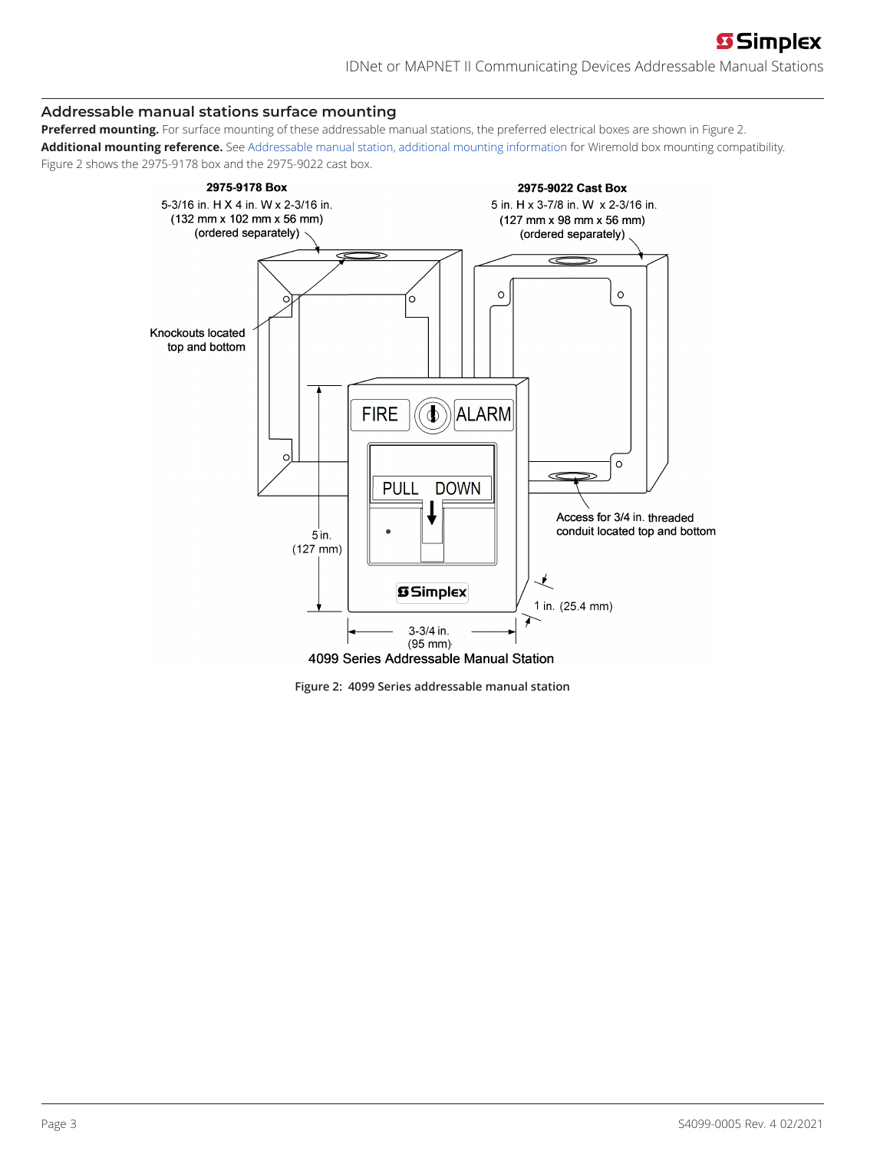# **Addressable manual stations surface mounting**

**Preferred mounting.** For surface mounting of these addressable manual stations, the preferred electrical boxes are shown in [Figure](#page-2-0) 2. **Additional mounting reference.** See [Addressable manual station, additional mounting information](#page-4-0) for Wiremold box mounting compatibility. [Figure](#page-2-0) 2 shows the 2975-9178 box and the 2975-9022 cast box.



<span id="page-2-0"></span>**Figure 2: 4099 Series addressable manual station**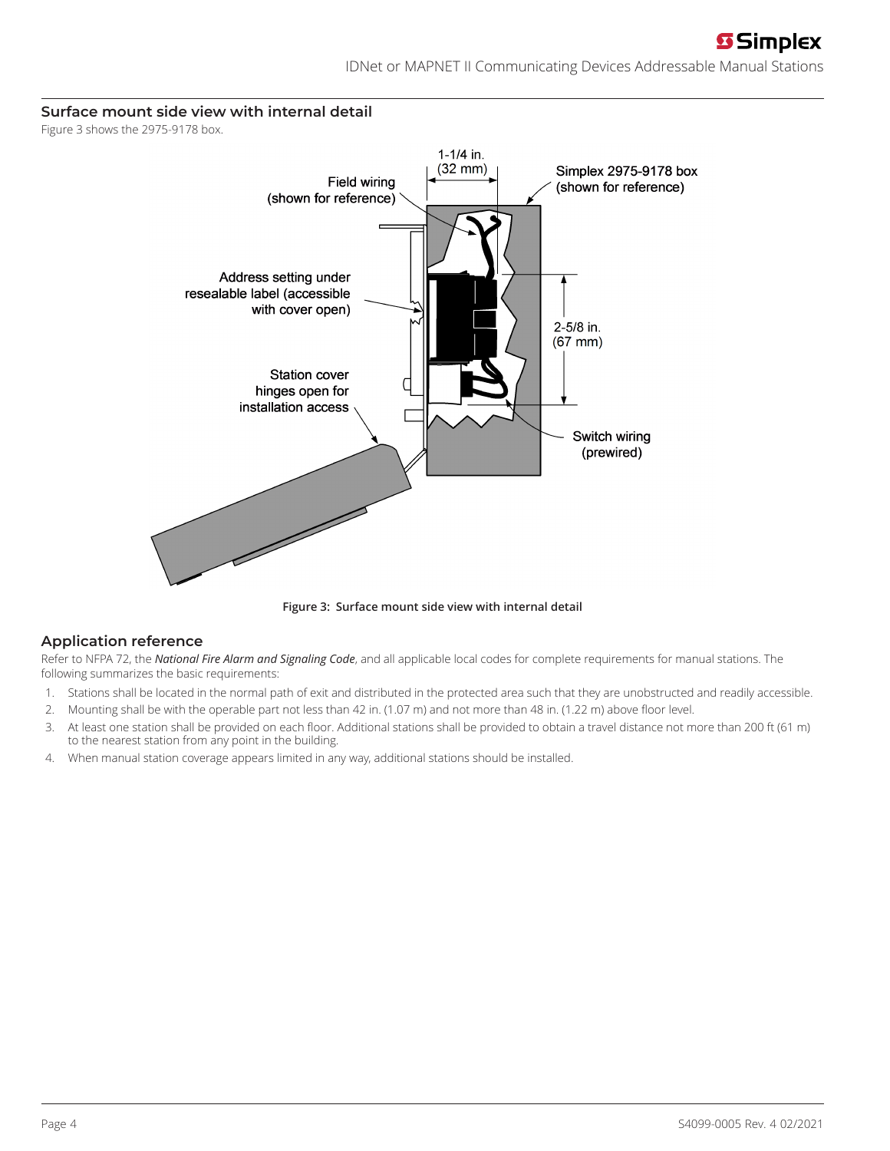# **Surface mount side view with internal detail**

[Figure](#page-3-0) 3 shows the 2975-9178 box.



<span id="page-3-0"></span>**Figure 3: Surface mount side view with internal detail**

# **Application reference**

Refer to NFPA 72, the *National Fire Alarm and Signaling Code*, and all applicable local codes for complete requirements for manual stations. The following summarizes the basic requirements:

- 1. Stations shall be located in the normal path of exit and distributed in the protected area such that they are unobstructed and readily accessible.
- 2. Mounting shall be with the operable part not less than 42 in. (1.07 m) and not more than 48 in. (1.22 m) above floor level.
- 3. At least one station shall be provided on each floor. Additional stations shall be provided to obtain a travel distance not more than 200 ft (61 m) to the nearest station from any point in the building.
- 4. When manual station coverage appears limited in any way, additional stations should be installed.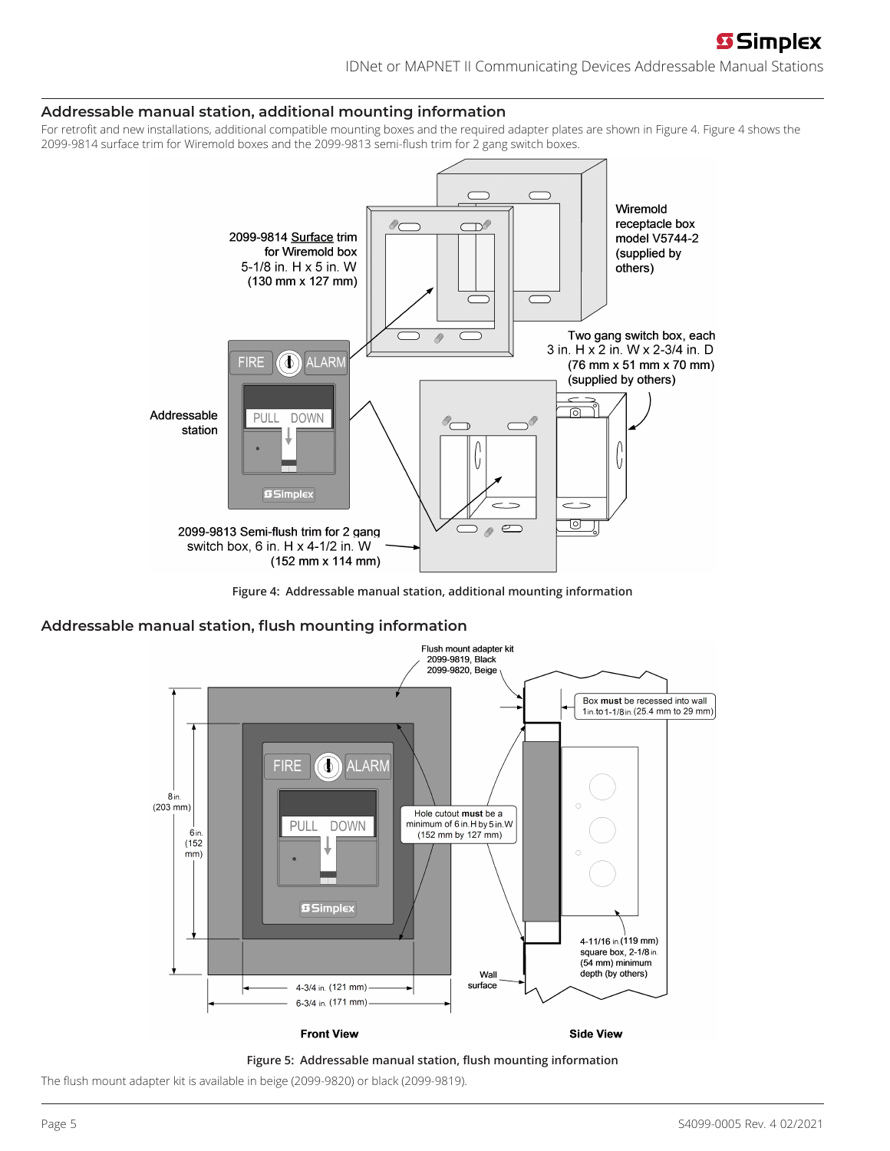# **S** Simplex

IDNet or MAPNET II Communicating Devices Addressable Manual Stations

#### <span id="page-4-0"></span>**Addressable manual station, additional mounting information**

For retrofit and new installations, additional compatible mounting boxes and the required adapter plates are shown in [Figure](#page-4-1) 4. [Figure](#page-4-1) 4 shows the 2099-9814 surface trim for Wiremold boxes and the 2099-9813 semi-flush trim for 2 gang switch boxes.



<span id="page-4-1"></span>**Figure 4: Addressable manual station, additional mounting information**

#### **Addressable manual station, flush mounting information**





The flush mount adapter kit is available in beige (2099-9820) or black (2099-9819).